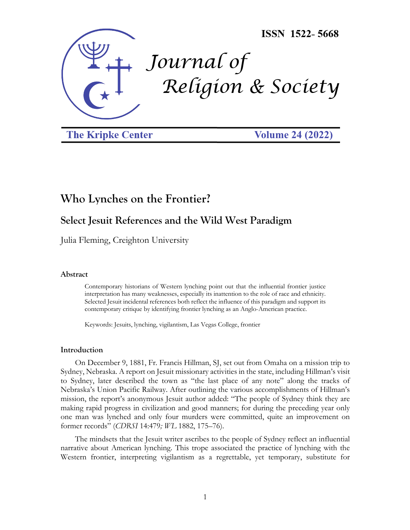

**The Kripke Center** 

**Volume 24 (2022)** 

# **Who Lynches on the Frontier?**

## **Select Jesuit References and the Wild West Paradigm**

Julia Fleming, Creighton University

#### **Abstract**

Contemporary historians of Western lynching point out that the influential frontier justice interpretation has many weaknesses, especially its inattention to the role of race and ethnicity. Selected Jesuit incidental references both reflect the influence of this paradigm and support its contemporary critique by identifying frontier lynching as an Anglo-American practice.

Keywords: Jesuits, lynching, vigilantism, Las Vegas College, frontier

#### **Introduction**

On December 9, 1881, Fr. Francis Hillman, SJ, set out from Omaha on a mission trip to Sydney, Nebraska. A report on Jesuit missionary activities in the state, including Hillman's visit to Sydney, later described the town as "the last place of any note" along the tracks of Nebraska's Union Pacific Railway. After outlining the various accomplishments of Hillman's mission, the report's anonymous Jesuit author added: "The people of Sydney think they are making rapid progress in civilization and good manners; for during the preceding year only one man was lynched and only four murders were committed, quite an improvement on former records" (*CDRSI* 14:479*; WL* 1882, 175–76).

The mindsets that the Jesuit writer ascribes to the people of Sydney reflect an influential narrative about American lynching. This trope associated the practice of lynching with the Western frontier, interpreting vigilantism as a regrettable, yet temporary, substitute for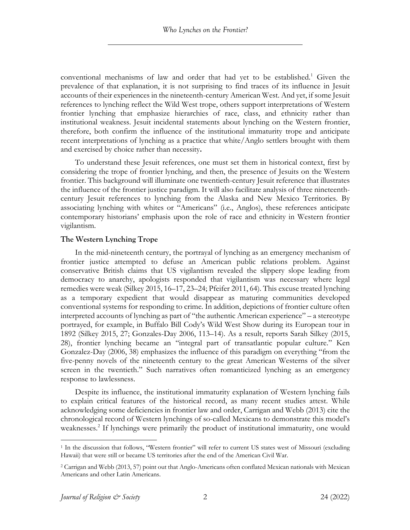conventional mechanisms of law and order that had yet to be established.<sup>1</sup> Given the prevalence of that explanation, it is not surprising to find traces of its influence in Jesuit accounts of their experiences in the nineteenth-century American West. And yet, if some Jesuit references to lynching reflect the Wild West trope, others support interpretations of Western frontier lynching that emphasize hierarchies of race, class, and ethnicity rather than institutional weakness. Jesuit incidental statements about lynching on the Western frontier, therefore, both confirm the influence of the institutional immaturity trope and anticipate recent interpretations of lynching as a practice that white/Anglo settlers brought with them and exercised by choice rather than necessity**.** 

To understand these Jesuit references, one must set them in historical context, first by considering the trope of frontier lynching, and then, the presence of Jesuits on the Western frontier. This background will illuminate one twentieth-century Jesuit reference that illustrates the influence of the frontier justice paradigm. It will also facilitate analysis of three nineteenthcentury Jesuit references to lynching from the Alaska and New Mexico Territories. By associating lynching with whites or "Americans" (i.e., Anglos), these references anticipate contemporary historians' emphasis upon the role of race and ethnicity in Western frontier vigilantism.

### **The Western Lynching Trope**

In the mid-nineteenth century, the portrayal of lynching as an emergency mechanism of frontier justice attempted to defuse an American public relations problem. Against conservative British claims that US vigilantism revealed the slippery slope leading from democracy to anarchy, apologists responded that vigilantism was necessary where legal remedies were weak (Silkey 2015, 16–17, 23–24; Pfeifer 2011, 64). This excuse treated lynching as a temporary expedient that would disappear as maturing communities developed conventional systems for responding to crime. In addition, depictions of frontier culture often interpreted accounts of lynching as part of "the authentic American experience" – a stereotype portrayed, for example, in Buffalo Bill Cody's Wild West Show during its European tour in 1892 (Silkey 2015, 27; Gonzales-Day 2006, 113–14). As a result, reports Sarah Silkey (2015, 28), frontier lynching became an "integral part of transatlantic popular culture." Ken Gonzalez-Day (2006, 38) emphasizes the influence of this paradigm on everything "from the five-penny novels of the nineteenth century to the great American Westerns of the silver screen in the twentieth." Such narratives often romanticized lynching as an emergency response to lawlessness.

Despite its influence, the institutional immaturity explanation of Western lynching fails to explain critical features of the historical record, as many recent studies attest. While acknowledging some deficiencies in frontier law and order, Carrigan and Webb (2013) cite the chronological record of Western lynchings of so-called Mexicans to demonstrate this model's weaknesses.<sup>2</sup> If lynchings were primarily the product of institutional immaturity, one would

<sup>1</sup> In the discussion that follows, "Western frontier" will refer to current US states west of Missouri (excluding Hawaii) that were still or became US territories after the end of the American Civil War.

<sup>2</sup> Carrigan and Webb (2013, 57) point out that Anglo-Americans often conflated Mexican nationals with Mexican Americans and other Latin Americans.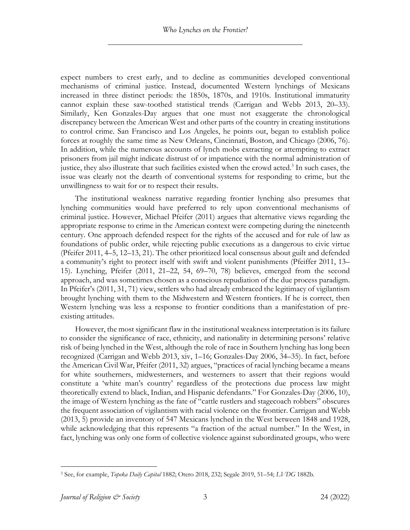expect numbers to crest early, and to decline as communities developed conventional mechanisms of criminal justice. Instead, documented Western lynchings of Mexicans increased in three distinct periods: the 1850s, 1870s, and 1910s. Institutional immaturity cannot explain these saw-toothed statistical trends (Carrigan and Webb 2013, 20–33). Similarly, Ken Gonzales-Day argues that one must not exaggerate the chronological discrepancy between the American West and other parts of the country in creating institutions to control crime. San Francisco and Los Angeles, he points out, began to establish police forces at roughly the same time as New Orleans, Cincinnati, Boston, and Chicago (2006, 76). In addition, while the numerous accounts of lynch mobs extracting or attempting to extract prisoners from jail might indicate distrust of or impatience with the normal administration of justice, they also illustrate that such facilities existed when the crowd acted. <sup>3</sup> In such cases, the issue was clearly not the dearth of conventional systems for responding to crime, but the unwillingness to wait for or to respect their results.

The institutional weakness narrative regarding frontier lynching also presumes that lynching communities would have preferred to rely upon conventional mechanisms of criminal justice. However, Michael Pfeifer (2011) argues that alternative views regarding the appropriate response to crime in the American context were competing during the nineteenth century. One approach defended respect for the rights of the accused and for rule of law as foundations of public order, while rejecting public executions as a dangerous to civic virtue (Pfeifer 2011, 4–5, 12–13, 21). The other prioritized local consensus about guilt and defended a community's right to protect itself with swift and violent punishments (Pfeiffer 2011, 13– 15). Lynching, Pfeifer (2011, 21–22, 54, 69–70, 78) believes, emerged from the second approach, and was sometimes chosen as a conscious repudiation of the due process paradigm. In Pfeifer's (2011, 31, 71) view, settlers who had already embraced the legitimacy of vigilantism brought lynching with them to the Midwestern and Western frontiers. If he is correct, then Western lynching was less a response to frontier conditions than a manifestation of preexisting attitudes.

However, the most significant flaw in the institutional weakness interpretation is its failure to consider the significance of race, ethnicity, and nationality in determining persons' relative risk of being lynched in the West, although the role of race in Southern lynching has long been recognized (Carrigan and Webb 2013, xiv, 1–16; Gonzales-Day 2006, 34–35). In fact, before the American Civil War, Pfeifer (2011, 32) argues, "practices of racial lynching became a means for white southerners, midwesterners, and westerners to assert that their regions would constitute a 'white man's country' regardless of the protections due process law might theoretically extend to black, Indian, and Hispanic defendants." For Gonzales-Day (2006, 10), the image of Western lynching as the fate of "cattle rustlers and stagecoach robbers" obscures the frequent association of vigilantism with racial violence on the frontier. Carrigan and Webb (2013, 5) provide an inventory of 547 Mexicans lynched in the West between 1848 and 1928, while acknowledging that this represents "a fraction of the actual number." In the West, in fact, lynching was only one form of collective violence against subordinated groups, who were

<sup>3</sup> See, for example, *Topeka Daily Capital* 1882; Otero 2018, 232; Segale 2019, 51–54; *LVDG* 1882b.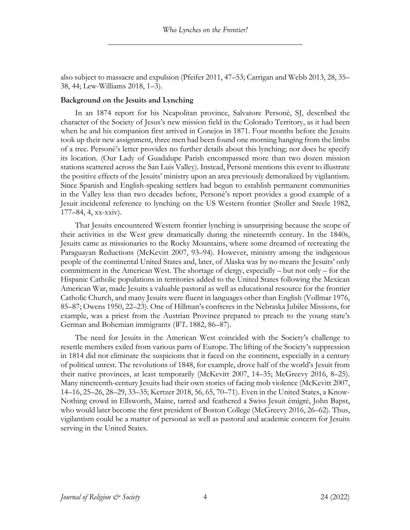also subject to massacre and expulsion (Pfeifer 2011, 47–53; Carrigan and Webb 2013, 28, 35– 38, 44; Lew-Williams 2018, 1–3).

#### **Background on the Jesuits and Lynching**

In an 1874 report for his Neapolitan province, Salvatore Personè, SJ, described the character of the Society of Jesus's new mission field in the Colorado Territory, as it had been when he and his companion first arrived in Conejos in 1871. Four months before the Jesuits took up their new assignment, three men had been found one morning hanging from the limbs of a tree. Personè's letter provides no further details about this lynching; nor does he specify its location. (Our Lady of Guadalupe Parish encompassed more than two dozen mission stations scattered across the San Luis Valley). Instead, Personè mentions this event to illustrate the positive effects of the Jesuits' ministry upon an area previously demoralized by vigilantism. Since Spanish and English-speaking settlers had begun to establish permanent communities in the Valley less than two decades before, Personè's report provides a good example of a Jesuit incidental reference to lynching on the US Western frontier (Stoller and Steele 1982, 177–84, 4, xx-xxiv).

That Jesuits encountered Western frontier lynching is unsurprising because the scope of their activities in the West grew dramatically during the nineteenth century. In the 1840s, Jesuits came as missionaries to the Rocky Mountains, where some dreamed of recreating the Paraguayan Reductions (McKevitt 2007, 93–94). However, ministry among the indigenous people of the continental United States and, later, of Alaska was by no means the Jesuits' only commitment in the American West. The shortage of clergy, especially – but not only – for the Hispanic Catholic populations in territories added to the United States following the Mexican American War, made Jesuits a valuable pastoral as well as educational resource for the frontier Catholic Church, and many Jesuits were fluent in languages other than English (Vollmar 1976, 85–87; Owens 1950, 22–23). One of Hillman's confreres in the Nebraska Jubilee Missions, for example, was a priest from the Austrian Province prepared to preach to the young state's German and Bohemian immigrants (*WL* 1882, 86–87).

The need for Jesuits in the American West coincided with the Society's challenge to resettle members exiled from various parts of Europe. The lifting of the Society's suppression in 1814 did not eliminate the suspicions that it faced on the continent, especially in a century of political unrest. The revolutions of 1848, for example, drove half of the world's Jesuit from their native provinces, at least temporarily (McKevitt 2007, 14–35; McGreevy 2016, 8–25). Many nineteenth-century Jesuits had their own stories of facing mob violence (McKevitt 2007, 14–16, 25–26, 28–29, 33–35; Kertzer 2018, 56, 65, 70–71). Even in the United States, a Know-Nothing crowd in Ellsworth, Maine, tarred and feathered a Swiss Jesuit émigré, John Bapst, who would later become the first president of Boston College (McGreevy 2016, 26–62). Thus, vigilantism could be a matter of personal as well as pastoral and academic concern for Jesuits serving in the United States.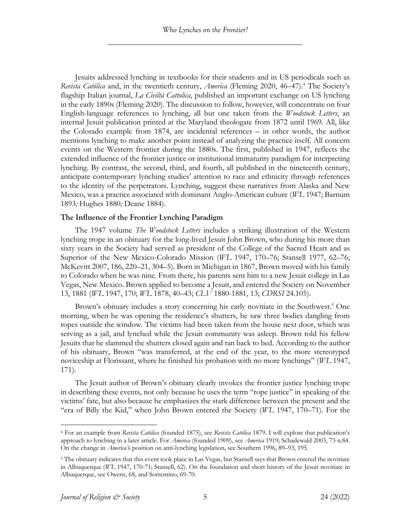Jesuits addressed lynching in textbooks for their students and in US periodicals such as *Revista Católica* and, in the twentieth century, *America* (Fleming 2020, 46–47).<sup>4</sup> The Society's flagship Italian journal, *La Civiltà Cattolica*, published an important exchange on US lynching in the early 1890s (Fleming 2020). The discussion to follow, however, will concentrate on four English-language references to lynching, all but one taken from the *Woodstock Letters*, an internal Jesuit publication printed at the Maryland theologate from 1872 until 1969. All, like the Colorado example from 1874, are incidental references – in other words, the author mentions lynching to make another point instead of analyzing the practice itself. All concern events on the Western frontier during the 1880s. The first, published in 1947, reflects the extended influence of the frontier justice or institutional immaturity paradigm for interpreting lynching. By contrast, the second, third, and fourth, all published in the nineteenth century, anticipate contemporary lynching studies' attention to race and ethnicity through references to the identity of the perpetrators. Lynching, suggest these narratives from Alaska and New Mexico, was a practice associated with dominant Anglo-American culture (*WL* 1947; Barnum 1893*;* Hughes 1880*;* Deane 1884).

#### **The Influence of the Frontier Lynching Paradigm**

The 1947 volume *The Woodstock Letters* includes a striking illustration of the Western lynching trope in an obituary for the long-lived Jesuit John Brown, who during his more than sixty years in the Society had served as president of the College of the Sacred Heart and as Superior of the New Mexico-Colorado Mission (*WL* 1947, 170–76; Stansell 1977, 62–76; McKevitt 2007, 186, 220–21, 304–5). Born in Michigan in 1867, Brown moved with his family to Colorado when he was nine. From there, his parents sent him to a new Jesuit college in Las Vegas, New Mexico. Brown applied to become a Jesuit, and entered the Society on November 13, 1881 (*WL* 1947, 170; *WL* 1878, 40–43; *CLV* 1880-1881, 13; *CDRSI* 24.105).

Brown's obituary includes a story concerning his early novitiate in the Southwest.<sup>5</sup> One morning, when he was opening the residence's shutters, he saw three bodies dangling from ropes outside the window. The victims had been taken from the house next door, which was serving as a jail, and lynched while the Jesuit community was asleep. Brown told his fellow Jesuits that he slammed the shutters closed again and ran back to bed. According to the author of his obituary, Brown "was transferred, at the end of the year, to the more stereotyped noviceship at Florissant, where he finished his probation with no more lynchings" (*WL* 1947, 171).

The Jesuit author of Brown's obituary clearly invokes the frontier justice lynching trope in describing these events, not only because he uses the term "rope justice" in speaking of the victims' fate, but also because he emphasizes the stark difference between the present and the "era of Billy the Kid," when John Brown entered the Society (*WL* 1947, 170–71). For the

<sup>4</sup> For an example from *Revista Católica* (founded 1875), see *Revista Católica* 1879. I will explore that publication's approach to lynching in a later article. For *America* (founded 1909), see *America* 1919; Schadewald 2003, 73 n.84. On the change in *America'*s position on anti-lynching legislation, see Southern 1996, 89–93, 195.

<sup>5</sup> The obituary indicates that this event took place in Las Vegas, but Stansell says that Brown entered the novitiate in Albuquerque (*WL* 1947, 170-71; Stansell, 62). On the foundation and short history of the Jesuit novitiate in Albuquerque, see Owens, 68, and Sorrentino, 69-70.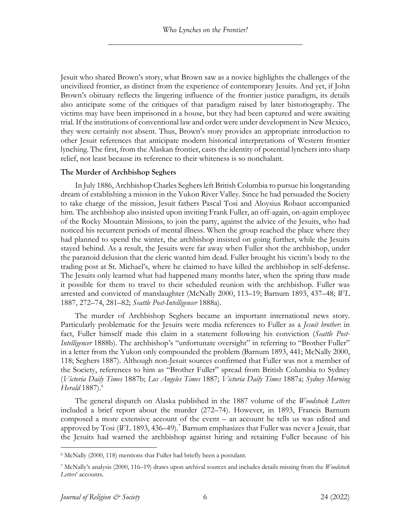Jesuit who shared Brown's story, what Brown saw as a novice highlights the challenges of the uncivilized frontier, as distinct from the experience of contemporary Jesuits. And yet, if John Brown's obituary reflects the lingering influence of the frontier justice paradigm, its details also anticipate some of the critiques of that paradigm raised by later historiography. The victims may have been imprisoned in a house, but they had been captured and were awaiting trial. If the institutions of conventional law and order were under development in New Mexico, they were certainly not absent. Thus, Brown's story provides an appropriate introduction to other Jesuit references that anticipate modern historical interpretations of Western frontier lynching. The first, from the Alaskan frontier, casts the identity of potential lynchers into sharp relief, not least because its reference to their whiteness is so nonchalant.

#### **The Murder of Archbishop Seghers**

In July 1886, Archbishop Charles Seghers left British Columbia to pursue his longstanding dream of establishing a mission in the Yukon River Valley. Since he had persuaded the Society to take charge of the mission, Jesuit fathers Pascal Tosi and Aloysius Robaut accompanied him. The archbishop also insisted upon inviting Frank Fuller, an off-again, on-again employee of the Rocky Mountain Missions, to join the party, against the advice of the Jesuits, who had noticed his recurrent periods of mental illness. When the group reached the place where they had planned to spend the winter, the archbishop insisted on going further, while the Jesuits stayed behind. As a result, the Jesuits were far away when Fuller shot the archbishop, under the paranoid delusion that the cleric wanted him dead. Fuller brought his victim's body to the trading post at St. Michael's, where he claimed to have killed the archbishop in self-defense. The Jesuits only learned what had happened many months later, when the spring thaw made it possible for them to travel to their scheduled reunion with the archbishop. Fuller was arrested and convicted of manslaughter (McNally 2000, 113–19; Barnum 1893, 437–48; *WL* 1887, 272–74, 281–82; *Seattle Post-Intelligencer* 1888a).

The murder of Archbishop Seghers became an important international news story. Particularly problematic for the Jesuits were media references to Fuller as a *Jesuit brother*: in fact, Fuller himself made this claim in a statement following his conviction (*Seattle Post-Intelligencer* 1888b). The archbishop's "unfortunate oversight" in referring to "Brother Fuller" in a letter from the Yukon only compounded the problem (Barnum 1893, 441; McNally 2000, 118; Seghers 1887). Although non-Jesuit sources confirmed that Fuller was not a member of the Society, references to him as "Brother Fuller" spread from British Columbia to Sydney (*Victoria Daily Times* 1887b; *Los Angeles Times* 1887; *Victoria Daily Times* 1887a; *Sydney Morning Herald* 1887).<sup>6</sup>

The general dispatch on Alaska published in the 1887 volume of the *Woodstock Letters* included a brief report about the murder (272–74). However, in 1893, Francis Barnum composed a more extensive account of the event – an account he tells us was edited and approved by Tosi (*WL* 1893, 436–49).<sup>7</sup> Barnum emphasizes that Fuller was never a Jesuit, that the Jesuits had warned the archbishop against hiring and retaining Fuller because of his

<sup>6</sup> McNally (2000, 118) mentions that Fuller had briefly been a postulant.

<sup>7</sup> McNally's analysis (2000, 116–19) draws upon archival sources and includes details missing from the *Woodstock Letters*' accounts.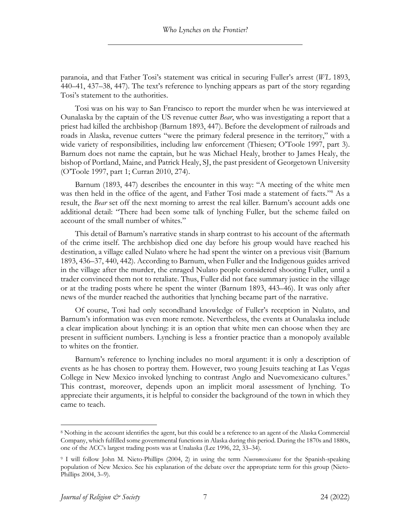paranoia, and that Father Tosi's statement was critical in securing Fuller's arrest (*WL* 1893, 440–41, 437–38, 447). The text's reference to lynching appears as part of the story regarding Tosi's statement to the authorities.

Tosi was on his way to San Francisco to report the murder when he was interviewed at Ounalaska by the captain of the US revenue cutter *Bear*, who was investigating a report that a priest had killed the archbishop (Barnum 1893, 447). Before the development of railroads and roads in Alaska, revenue cutters "were the primary federal presence in the territory," with a wide variety of responsibilities, including law enforcement (Thiesen; O'Toole 1997, part 3). Barnum does not name the captain, but he was Michael Healy, brother to James Healy, the bishop of Portland, Maine, and Patrick Healy, SJ, the past president of Georgetown University (O'Toole 1997, part 1; Curran 2010, 274).

Barnum (1893, 447) describes the encounter in this way: "A meeting of the white men was then held in the office of the agent, and Father Tosi made a statement of facts."<sup>8</sup> As a result, the *Bear* set off the next morning to arrest the real killer. Barnum's account adds one additional detail: "There had been some talk of lynching Fuller, but the scheme failed on account of the small number of whites."

This detail of Barnum's narrative stands in sharp contrast to his account of the aftermath of the crime itself. The archbishop died one day before his group would have reached his destination, a village called Nulato where he had spent the winter on a previous visit (Barnum 1893, 436–37, 440, 442). According to Barnum, when Fuller and the Indigenous guides arrived in the village after the murder, the enraged Nulato people considered shooting Fuller, until a trader convinced them not to retaliate. Thus, Fuller did not face summary justice in the village or at the trading posts where he spent the winter (Barnum 1893, 443–46). It was only after news of the murder reached the authorities that lynching became part of the narrative.

Of course, Tosi had only secondhand knowledge of Fuller's reception in Nulato, and Barnum's information was even more remote. Nevertheless, the events at Ounalaska include a clear implication about lynching: it is an option that white men can choose when they are present in sufficient numbers. Lynching is less a frontier practice than a monopoly available to whites on the frontier.

Barnum's reference to lynching includes no moral argument: it is only a description of events as he has chosen to portray them. However, two young Jesuits teaching at Las Vegas College in New Mexico invoked lynching to contrast Anglo and Nuevomexicano cultures.<sup>9</sup> This contrast, moreover, depends upon an implicit moral assessment of lynching. To appreciate their arguments, it is helpful to consider the background of the town in which they came to teach.

<sup>8</sup> Nothing in the account identifies the agent, but this could be a reference to an agent of the Alaska Commercial Company, which fulfilled some governmental functions in Alaska during this period. During the 1870s and 1880s, one of the ACC's largest trading posts was at Unalaska (Lee 1996, 22, 33–34).

<sup>9</sup> I will follow John M. Nieto-Phillips (2004, 2) in using the term *Nuevomexicanos* for the Spanish-speaking population of New Mexico. See his explanation of the debate over the appropriate term for this group (Nieto-Phillips 2004, 3–9).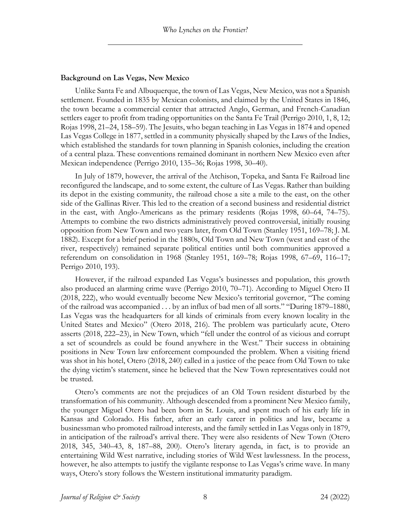#### **Background on Las Vegas, New Mexico**

Unlike Santa Fe and Albuquerque, the town of Las Vegas, New Mexico, was not a Spanish settlement. Founded in 1835 by Mexican colonists, and claimed by the United States in 1846, the town became a commercial center that attracted Anglo, German, and French-Canadian settlers eager to profit from trading opportunities on the Santa Fe Trail (Perrigo 2010, 1, 8, 12; Rojas 1998, 21–24, 158–59). The Jesuits, who began teaching in Las Vegas in 1874 and opened Las Vegas College in 1877, settled in a community physically shaped by the Laws of the Indies, which established the standards for town planning in Spanish colonies, including the creation of a central plaza. These conventions remained dominant in northern New Mexico even after Mexican independence (Perrigo 2010, 135–36; Rojas 1998, 30–40).

In July of 1879, however, the arrival of the Atchison, Topeka, and Santa Fe Railroad line reconfigured the landscape, and to some extent, the culture of Las Vegas. Rather than building its depot in the existing community, the railroad chose a site a mile to the east, on the other side of the Gallinas River. This led to the creation of a second business and residential district in the east, with Anglo-Americans as the primary residents (Rojas 1998, 60–64, 74–75). Attempts to combine the two districts administratively proved controversial, initially rousing opposition from New Town and two years later, from Old Town (Stanley 1951, 169–78; J. M. 1882). Except for a brief period in the 1880s, Old Town and New Town (west and east of the river, respectively) remained separate political entities until both communities approved a referendum on consolidation in 1968 (Stanley 1951, 169–78; Rojas 1998, 67–69, 116–17; Perrigo 2010, 193).

However, if the railroad expanded Las Vegas's businesses and population, this growth also produced an alarming crime wave (Perrigo 2010, 70–71). According to Miguel Otero II (2018, 222), who would eventually become New Mexico's territorial governor, "The coming of the railroad was accompanied . . . by an influx of bad men of all sorts." "During 1879–1880, Las Vegas was the headquarters for all kinds of criminals from every known locality in the United States and Mexico" (Otero 2018, 216). The problem was particularly acute, Otero asserts (2018, 222–23), in New Town, which "fell under the control of as vicious and corrupt a set of scoundrels as could be found anywhere in the West." Their success in obtaining positions in New Town law enforcement compounded the problem. When a visiting friend was shot in his hotel, Otero (2018, 240) called in a justice of the peace from Old Town to take the dying victim's statement, since he believed that the New Town representatives could not be trusted.

Otero's comments are not the prejudices of an Old Town resident disturbed by the transformation of his community. Although descended from a prominent New Mexico family, the younger Miguel Otero had been born in St. Louis, and spent much of his early life in Kansas and Colorado. His father, after an early career in politics and law, became a businessman who promoted railroad interests, and the family settled in Las Vegas only in 1879, in anticipation of the railroad's arrival there. They were also residents of New Town (Otero 2018, 345, 340–43, 8, 187–88, 200). Otero's literary agenda, in fact, is to provide an entertaining Wild West narrative, including stories of Wild West lawlessness. In the process, however, he also attempts to justify the vigilante response to Las Vegas's crime wave. In many ways, Otero's story follows the Western institutional immaturity paradigm.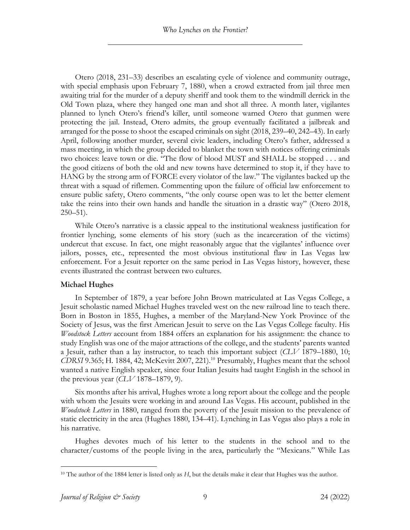Otero (2018, 231–33) describes an escalating cycle of violence and community outrage, with special emphasis upon February 7, 1880, when a crowd extracted from jail three men awaiting trial for the murder of a deputy sheriff and took them to the windmill derrick in the Old Town plaza, where they hanged one man and shot all three. A month later, vigilantes planned to lynch Otero's friend's killer, until someone warned Otero that gunmen were protecting the jail. Instead, Otero admits, the group eventually facilitated a jailbreak and arranged for the posse to shoot the escaped criminals on sight (2018, 239–40, 242–43). In early April, following another murder, several civic leaders, including Otero's father, addressed a mass meeting, in which the group decided to blanket the town with notices offering criminals two choices: leave town or die. "The flow of blood MUST and SHALL be stopped . . . and the good citizens of both the old and new towns have determined to stop it, if they have to HANG by the strong arm of FORCE every violator of the law." The vigilantes backed up the threat with a squad of riflemen. Commenting upon the failure of official law enforcement to ensure public safety, Otero comments, "the only course open was to let the better element take the reins into their own hands and handle the situation in a drastic way" (Otero 2018,  $250 - 51$ ).

While Otero's narrative is a classic appeal to the institutional weakness justification for frontier lynching, some elements of his story (such as the incarceration of the victims) undercut that excuse. In fact, one might reasonably argue that the vigilantes' influence over jailors, posses, etc., represented the most obvious institutional flaw in Las Vegas law enforcement. For a Jesuit reporter on the same period in Las Vegas history, however, these events illustrated the contrast between two cultures.

#### **Michael Hughes**

In September of 1879, a year before John Brown matriculated at Las Vegas College, a Jesuit scholastic named Michael Hughes traveled west on the new railroad line to teach there. Born in Boston in 1855, Hughes, a member of the Maryland-New York Province of the Society of Jesus, was the first American Jesuit to serve on the Las Vegas College faculty. His *Woodstock Letters* account from 1884 offers an explanation for his assignment: the chance to study English was one of the major attractions of the college, and the students' parents wanted a Jesuit, rather than a lay instructor, to teach this important subject (*CLV* 1879–1880, 10; *CDRSI* 9.365; H. 1884, 42; McKevitt 2007, 221).<sup>10</sup> Presumably, Hughes meant that the school wanted a native English speaker, since four Italian Jesuits had taught English in the school in the previous year (*CLV* 1878–1879, 9).

Six months after his arrival, Hughes wrote a long report about the college and the people with whom the Jesuits were working in and around Las Vegas. His account, published in the *Woodstock Letters* in 1880, ranged from the poverty of the Jesuit mission to the prevalence of static electricity in the area (Hughes 1880, 134–41). Lynching in Las Vegas also plays a role in his narrative.

Hughes devotes much of his letter to the students in the school and to the character/customs of the people living in the area, particularly the "Mexicans." While Las

<sup>&</sup>lt;sup>10</sup> The author of the 1884 letter is listed only as *H*, but the details make it clear that Hughes was the author.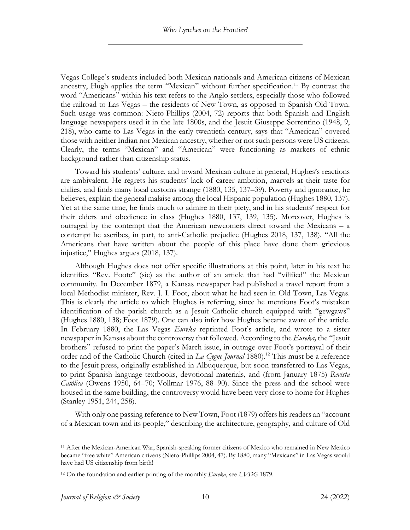Vegas College's students included both Mexican nationals and American citizens of Mexican ancestry, Hugh applies the term "Mexican" without further specification. <sup>11</sup> By contrast the word "Americans" within his text refers to the Anglo settlers, especially those who followed the railroad to Las Vegas – the residents of New Town, as opposed to Spanish Old Town. Such usage was common: Nieto-Phillips (2004, 72) reports that both Spanish and English language newspapers used it in the late 1800s, and the Jesuit Giuseppe Sorrentino (1948, 9, 218), who came to Las Vegas in the early twentieth century, says that "American" covered those with neither Indian nor Mexican ancestry, whether or not such persons were US citizens. Clearly, the terms "Mexican" and "American" were functioning as markers of ethnic background rather than citizenship status.

Toward his students' culture, and toward Mexican culture in general, Hughes's reactions are ambivalent. He regrets his students' lack of career ambition, marvels at their taste for chilies, and finds many local customs strange (1880, 135, 137–39). Poverty and ignorance, he believes, explain the general malaise among the local Hispanic population (Hughes 1880, 137). Yet at the same time, he finds much to admire in their piety, and in his students' respect for their elders and obedience in class (Hughes 1880, 137, 139, 135). Moreover, Hughes is outraged by the contempt that the American newcomers direct toward the Mexicans – a contempt he ascribes, in part, to anti-Catholic prejudice (Hughes 2018, 137, 138). "All the Americans that have written about the people of this place have done them grievious injustice," Hughes argues (2018, 137).

Although Hughes does not offer specific illustrations at this point, later in his text he identifies "Rev. Foote" (sic) as the author of an article that had "vilified" the Mexican community. In December 1879, a Kansas newspaper had published a travel report from a local Methodist minister, Rev. J. I. Foot, about what he had seen in Old Town, Las Vegas. This is clearly the article to which Hughes is referring, since he mentions Foot's mistaken identification of the parish church as a Jesuit Catholic church equipped with "gewgaws" (Hughes 1880, 138; Foot 1879). One can also infer how Hughes became aware of the article. In February 1880, the Las Vegas *Eureka* reprinted Foot's article, and wrote to a sister newspaper in Kansas about the controversy that followed. According to the *Eureka,* the "Jesuit brothers" refused to print the paper's March issue, in outrage over Foot's portrayal of their order and of the Catholic Church (cited in *La Cygne Journal* 1880).<sup>12</sup> This must be a reference to the Jesuit press, originally established in Albuquerque, but soon transferred to Las Vegas, to print Spanish language textbooks, devotional materials, and (from January 1875) *Revista Católica* (Owens 1950, 64–70; Vollmar 1976, 88–90). Since the press and the school were housed in the same building, the controversy would have been very close to home for Hughes (Stanley 1951, 244, 258).

With only one passing reference to New Town, Foot (1879) offers his readers an "account of a Mexican town and its people," describing the architecture, geography, and culture of Old

<sup>11</sup> After the Mexican-American War, Spanish-speaking former citizens of Mexico who remained in New Mexico became "free white" American citizens (Nieto-Phillips 2004, 47). By 1880, many "Mexicans" in Las Vegas would have had US citizenship from birth!

<sup>12</sup> On the foundation and earlier printing of the monthly *Eureka*, see *LVDG* 1879.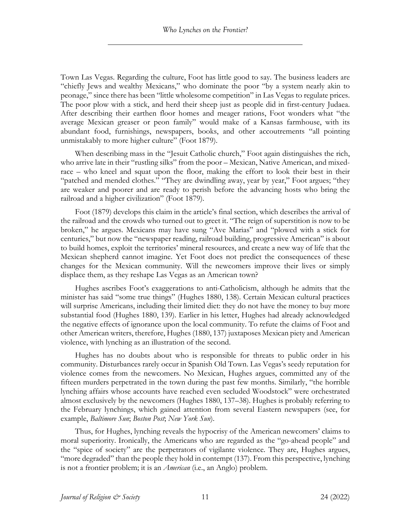Town Las Vegas. Regarding the culture, Foot has little good to say. The business leaders are "chiefly Jews and wealthy Mexicans," who dominate the poor "by a system nearly akin to peonage," since there has been "little wholesome competition" in Las Vegas to regulate prices. The poor plow with a stick, and herd their sheep just as people did in first-century Judaea. After describing their earthen floor homes and meager rations, Foot wonders what "the average Mexican greaser or peon family" would make of a Kansas farmhouse, with its abundant food, furnishings, newspapers, books, and other accoutrements "all pointing unmistakably to more higher culture" (Foot 1879).

When describing mass in the "Jesuit Catholic church," Foot again distinguishes the rich, who arrive late in their "rustling silks" from the poor – Mexican, Native American, and mixedrace – who kneel and squat upon the floor, making the effort to look their best in their "patched and mended clothes." "They are dwindling away, year by year," Foot argues; "they are weaker and poorer and are ready to perish before the advancing hosts who bring the railroad and a higher civilization" (Foot 1879).

Foot (1879) develops this claim in the article's final section, which describes the arrival of the railroad and the crowds who turned out to greet it. "The reign of superstition is now to be broken," he argues. Mexicans may have sung "Ave Marias" and "plowed with a stick for centuries," but now the "newspaper reading, railroad building, progressive American" is about to build homes, exploit the territories' mineral resources, and create a new way of life that the Mexican shepherd cannot imagine. Yet Foot does not predict the consequences of these changes for the Mexican community. Will the newcomers improve their lives or simply displace them, as they reshape Las Vegas as an American town?

Hughes ascribes Foot's exaggerations to anti-Catholicism, although he admits that the minister has said "some true things" (Hughes 1880, 138). Certain Mexican cultural practices will surprise Americans, including their limited diet: they do not have the money to buy more substantial food (Hughes 1880, 139). Earlier in his letter, Hughes had already acknowledged the negative effects of ignorance upon the local community. To refute the claims of Foot and other American writers, therefore, Hughes (1880, 137) juxtaposes Mexican piety and American violence, with lynching as an illustration of the second.

Hughes has no doubts about who is responsible for threats to public order in his community. Disturbances rarely occur in Spanish Old Town. Las Vegas's seedy reputation for violence comes from the newcomers. No Mexican, Hughes argues, committed any of the fifteen murders perpetrated in the town during the past few months. Similarly, "the horrible lynching affairs whose accounts have reached even secluded Woodstock" were orchestrated almost exclusively by the newcomers (Hughes 1880, 137–38). Hughes is probably referring to the February lynchings, which gained attention from several Eastern newspapers (see, for example, *Baltimore Sun*; *Boston Post*; *New York Sun*).

Thus, for Hughes, lynching reveals the hypocrisy of the American newcomers' claims to moral superiority. Ironically, the Americans who are regarded as the "go-ahead people" and the "spice of society" are the perpetrators of vigilante violence. They are, Hughes argues, "more degraded" than the people they hold in contempt (137). From this perspective, lynching is not a frontier problem; it is an *American* (i.e., an Anglo) problem.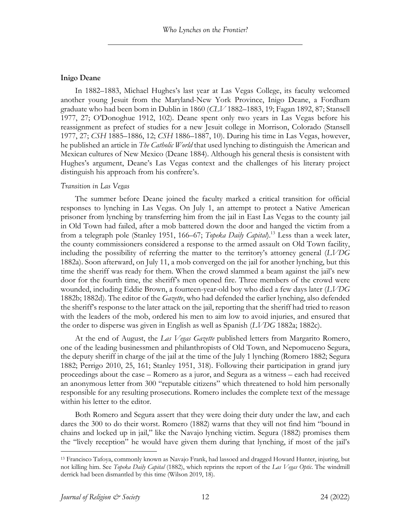#### **Inigo Deane**

In 1882–1883, Michael Hughes's last year at Las Vegas College, its faculty welcomed another young Jesuit from the Maryland-New York Province, Inigo Deane, a Fordham graduate who had been born in Dublin in 1860 (*CLV* 1882–1883, 19; Fagan 1892, 87; Stansell 1977, 27; O'Donoghue 1912, 102). Deane spent only two years in Las Vegas before his reassignment as prefect of studies for a new Jesuit college in Morrison, Colorado (Stansell 1977, 27; *CSH* 1885–1886, 12; *CSH* 1886–1887, 10). During his time in Las Vegas, however, he published an article in *The Catholic World* that used lynching to distinguish the American and Mexican cultures of New Mexico (Deane 1884). Although his general thesis is consistent with Hughes's argument, Deane's Las Vegas context and the challenges of his literary project distinguish his approach from his confrere's.

#### *Transition in Las Vegas*

The summer before Deane joined the faculty marked a critical transition for official responses to lynching in Las Vegas. On July 1, an attempt to protect a Native American prisoner from lynching by transferring him from the jail in East Las Vegas to the county jail in Old Town had failed, after a mob battered down the door and hanged the victim from a from a telegraph pole (Stanley 1951, 166–67; *Topeka Daily Capital*).13 Less than a week later, the county commissioners considered a response to the armed assault on Old Town facility, including the possibility of referring the matter to the territory's attorney general (*LVDG*  1882a). Soon afterward, on July 11, a mob converged on the jail for another lynching, but this time the sheriff was ready for them. When the crowd slammed a beam against the jail's new door for the fourth time, the sheriff's men opened fire. Three members of the crowd were wounded, including Eddie Brown, a fourteen-year-old boy who died a few days later (*LVDG*  1882b; 1882d). The editor of the *Gazette*, who had defended the earlier lynching, also defended the sheriff's response to the later attack on the jail, reporting that the sheriff had tried to reason with the leaders of the mob, ordered his men to aim low to avoid injuries, and ensured that the order to disperse was given in English as well as Spanish (*LVDG* 1882a; 1882c).

At the end of August, the *Las Vegas Gazette* published letters from Margarito Romero, one of the leading businessmen and philanthropists of Old Town, and Nepomuceno Segura, the deputy sheriff in charge of the jail at the time of the July 1 lynching (Romero 1882; Segura 1882; Perrigo 2010, 25, 161; Stanley 1951, 318). Following their participation in grand jury proceedings about the case – Romero as a juror, and Segura as a witness – each had received an anonymous letter from 300 "reputable citizens" which threatened to hold him personally responsible for any resulting prosecutions. Romero includes the complete text of the message within his letter to the editor.

Both Romero and Segura assert that they were doing their duty under the law, and each dares the 300 to do their worst. Romero (1882) warns that they will not find him "bound in chains and locked up in jail," like the Navajo lynching victim. Segura (1882) promises them the "lively reception" he would have given them during that lynching, if most of the jail's

<sup>13</sup> Francisco Tafoya, commonly known as Navajo Frank, had lassoed and dragged Howard Hunter, injuring, but not killing him. See *Topeka Daily Capital* (1882), which reprints the report of the *Las Vegas Optic*. The windmill derrick had been dismantled by this time (Wilson 2019, 18).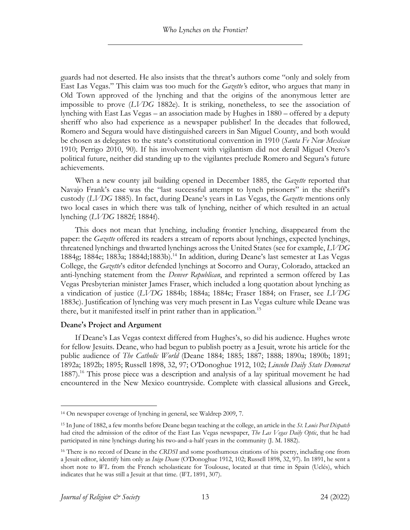guards had not deserted. He also insists that the threat's authors come "only and solely from East Las Vegas." This claim was too much for the *Gazette'*s editor, who argues that many in Old Town approved of the lynching and that the origins of the anonymous letter are impossible to prove (*LVDG* 1882e). It is striking, nonetheless, to see the association of lynching with East Las Vegas – an association made by Hughes in 1880 – offered by a deputy sheriff who also had experience as a newspaper publisher! In the decades that followed, Romero and Segura would have distinguished careers in San Miguel County, and both would be chosen as delegates to the state's constitutional convention in 1910 (*Santa Fe New Mexican* 1910; Perrigo 2010, 90). If his involvement with vigilantism did not derail Miguel Otero's political future, neither did standing up to the vigilantes preclude Romero and Segura's future achievements.

When a new county jail building opened in December 1885, the *Gazette* reported that Navajo Frank's case was the "last successful attempt to lynch prisoners" in the sheriff's custody (*LVDG* 1885). In fact, during Deane's years in Las Vegas, the *Gazette* mentions only two local cases in which there was talk of lynching, neither of which resulted in an actual lynching (*LVDG* 1882f; 1884f).

This does not mean that lynching, including frontier lynching, disappeared from the paper: the *Gazette* offered its readers a stream of reports about lynchings, expected lynchings, threatened lynchings and thwarted lynchings across the United States (see for example, *LVDG*  1884g; 1884e; 1883a; 1884d;1883b). <sup>14</sup> In addition, during Deane's last semester at Las Vegas College, the *Gazette*'s editor defended lynchings at Socorro and Ouray, Colorado, attacked an anti-lynching statement from the *Denver Republican*, and reprinted a sermon offered by Las Vegas Presbyterian minister James Fraser, which included a long quotation about lynching as a vindication of justice (*LVDG* 1884b; 1884a; 1884c; Fraser 1884; on Fraser, see *LVDG* 1883c). Justification of lynching was very much present in Las Vegas culture while Deane was there, but it manifested itself in print rather than in application.<sup>15</sup>

#### **Deane's Project and Argument**

If Deane's Las Vegas context differed from Hughes's, so did his audience. Hughes wrote for fellow Jesuits. Deane, who had begun to publish poetry as a Jesuit, wrote his article for the public audience of *The Catholic World* (Deane 1884; 1885; 1887; 1888; 1890a; 1890b; 1891; 1892a; 1892b; 1895; Russell 1898, 32, 97; O'Donoghue 1912, 102; *Lincoln Daily State Democrat* 1887).<sup>16</sup> This prose piece was a description and analysis of a lay spiritual movement he had encountered in the New Mexico countryside. Complete with classical allusions and Greek,

<sup>14</sup> On newspaper coverage of lynching in general, see Waldrep 2009, 7.

<sup>15</sup> In June of 1882, a few months before Deane began teaching at the college, an article in the *St. Louis Post Dispatch* had cited the admission of the editor of the East Las Vegas newspaper, *The Las Vegas Daily Optic*, that he had participated in nine lynchings during his two-and-a-half years in the community (J. M. 1882).

<sup>16</sup> There is no record of Deane in the *CRDSI* and some posthumous citations of his poetry, including one from a Jesuit editor, identify him only as *Inigo Deane* (O'Donoghue 1912, 102; Russell 1898, 32, 97). In 1891, he sent a short note to WL from the French scholasticate for Toulouse, located at that time in Spain (Uclés), which indicates that he was still a Jesuit at that time. (*WL* 1891, 307).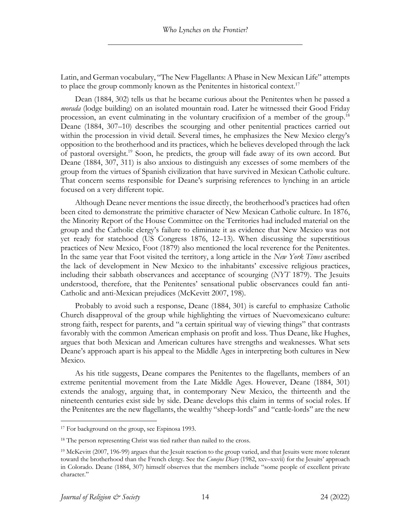Latin, and German vocabulary, "The New Flagellants: A Phase in New Mexican Life" attempts to place the group commonly known as the Penitentes in historical context.<sup>17</sup>

Dean (1884, 302) tells us that he became curious about the Penitentes when he passed a *morada* (lodge building) on an isolated mountain road. Later he witnessed their Good Friday procession, an event culminating in the voluntary crucifixion of a member of the group.<sup>18</sup> Deane (1884, 307–10) describes the scourging and other penitential practices carried out within the procession in vivid detail. Several times, he emphasizes the New Mexico clergy's opposition to the brotherhood and its practices, which he believes developed through the lack of pastoral oversight.19 Soon, he predicts, the group will fade away of its own accord. But Deane (1884, 307, 311) is also anxious to distinguish any excesses of some members of the group from the virtues of Spanish civilization that have survived in Mexican Catholic culture. That concern seems responsible for Deane's surprising references to lynching in an article focused on a very different topic.

Although Deane never mentions the issue directly, the brotherhood's practices had often been cited to demonstrate the primitive character of New Mexican Catholic culture. In 1876, the Minority Report of the House Committee on the Territories had included material on the group and the Catholic clergy's failure to eliminate it as evidence that New Mexico was not yet ready for statehood (US Congress 1876, 12–13). When discussing the superstitious practices of New Mexico, Foot (1879) also mentioned the local reverence for the Penitentes. In the same year that Foot visited the territory, a long article in the *New York Times* ascribed the lack of development in New Mexico to the inhabitants' excessive religious practices, including their sabbath observances and acceptance of scourging (*NYT* 1879). The Jesuits understood, therefore, that the Penitentes' sensational public observances could fan anti-Catholic and anti-Mexican prejudices (McKevitt 2007, 198).

Probably to avoid such a response, Deane (1884, 301) is careful to emphasize Catholic Church disapproval of the group while highlighting the virtues of Nuevomexicano culture: strong faith, respect for parents, and "a certain spiritual way of viewing things" that contrasts favorably with the common American emphasis on profit and loss. Thus Deane, like Hughes, argues that both Mexican and American cultures have strengths and weaknesses. What sets Deane's approach apart is his appeal to the Middle Ages in interpreting both cultures in New Mexico.

As his title suggests, Deane compares the Penitentes to the flagellants, members of an extreme penitential movement from the Late Middle Ages. However, Deane (1884, 301) extends the analogy, arguing that, in contemporary New Mexico, the thirteenth and the nineteenth centuries exist side by side. Deane develops this claim in terms of social roles. If the Penitentes are the new flagellants, the wealthy "sheep-lords" and "cattle-lords" are the new

<sup>&</sup>lt;sup>17</sup> For background on the group, see Espinosa 1993.

<sup>&</sup>lt;sup>18</sup> The person representing Christ was tied rather than nailed to the cross.

<sup>&</sup>lt;sup>19</sup> McKevitt (2007, 196-99) argues that the Jesuit reaction to the group varied, and that Jesuits were more tolerant toward the brotherhood than the French clergy. See the *Conejos Diary* (1982, xxv–xxvii) for the Jesuits' approach in Colorado. Deane (1884, 307) himself observes that the members include "some people of excellent private character."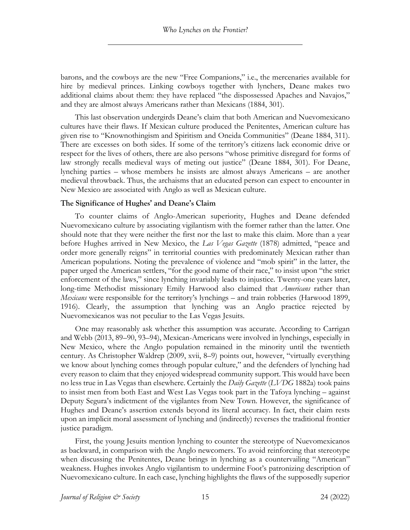barons, and the cowboys are the new "Free Companions," i.e., the mercenaries available for hire by medieval princes. Linking cowboys together with lynchers, Deane makes two additional claims about them: they have replaced "the dispossessed Apaches and Navajos," and they are almost always Americans rather than Mexicans (1884, 301).

This last observation undergirds Deane's claim that both American and Nuevomexicano cultures have their flaws. If Mexican culture produced the Penitentes, American culture has given rise to "Knownothingism and Spiritism and Oneida Communities" (Deane 1884, 311). There are excesses on both sides. If some of the territory's citizens lack economic drive or respect for the lives of others, there are also persons "whose primitive disregard for forms of law strongly recalls medieval ways of meting out justice" (Deane 1884, 301). For Deane, lynching parties – whose members he insists are almost always Americans – are another medieval throwback. Thus, the archaisms that an educated person can expect to encounter in New Mexico are associated with Anglo as well as Mexican culture.

#### **The Significance of Hughes' and Deane's Claim**

To counter claims of Anglo-American superiority, Hughes and Deane defended Nuevomexicano culture by associating vigilantism with the former rather than the latter. One should note that they were neither the first nor the last to make this claim. More than a year before Hughes arrived in New Mexico, the *Las Vegas Gazette* (1878) admitted, "peace and order more generally reigns" in territorial counties with predominately Mexican rather than American populations. Noting the prevalence of violence and "mob spirit" in the latter, the paper urged the American settlers, "for the good name of their race," to insist upon "the strict enforcement of the laws," since lynching invariably leads to injustice. Twenty-one years later, long-time Methodist missionary Emily Harwood also claimed that *Americans* rather than *Mexicans* were responsible for the territory's lynchings – and train robberies (Harwood 1899, 1916). Clearly, the assumption that lynching was an Anglo practice rejected by Nuevomexicanos was not peculiar to the Las Vegas Jesuits.

One may reasonably ask whether this assumption was accurate. According to Carrigan and Webb (2013, 89–90, 93–94), Mexican-Americans were involved in lynchings, especially in New Mexico, where the Anglo population remained in the minority until the twentieth century. As Christopher Waldrep (2009, xvii, 8–9) points out, however, "virtually everything we know about lynching comes through popular culture," and the defenders of lynching had every reason to claim that they enjoyed widespread community support. This would have been no less true in Las Vegas than elsewhere. Certainly the *Daily Gazette* (*LVDG* 1882a) took pains to insist men from both East and West Las Vegas took part in the Tafoya lynching – against Deputy Segura's indictment of the vigilantes from New Town. However, the significance of Hughes and Deane's assertion extends beyond its literal accuracy. In fact, their claim rests upon an implicit moral assessment of lynching and (indirectly) reverses the traditional frontier justice paradigm.

First, the young Jesuits mention lynching to counter the stereotype of Nuevomexicanos as backward, in comparison with the Anglo newcomers. To avoid reinforcing that stereotype when discussing the Penitentes, Deane brings in lynching as a countervailing "American" weakness. Hughes invokes Anglo vigilantism to undermine Foot's patronizing description of Nuevomexicano culture. In each case, lynching highlights the flaws of the supposedly superior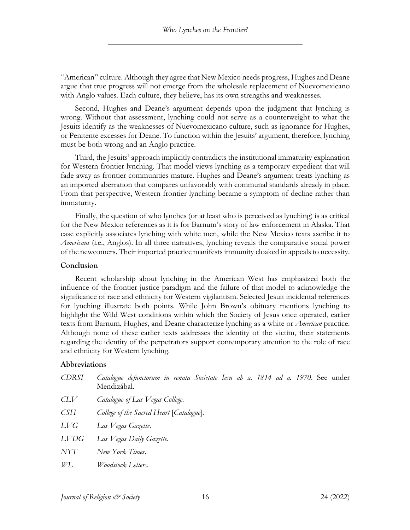"American" culture. Although they agree that New Mexico needs progress, Hughes and Deane argue that true progress will not emerge from the wholesale replacement of Nuevomexicano with Anglo values. Each culture, they believe, has its own strengths and weaknesses.

Second, Hughes and Deane's argument depends upon the judgment that lynching is wrong. Without that assessment, lynching could not serve as a counterweight to what the Jesuits identify as the weaknesses of Nuevomexicano culture, such as ignorance for Hughes, or Penitente excesses for Deane. To function within the Jesuits' argument, therefore, lynching must be both wrong and an Anglo practice.

Third, the Jesuits' approach implicitly contradicts the institutional immaturity explanation for Western frontier lynching. That model views lynching as a temporary expedient that will fade away as frontier communities mature. Hughes and Deane's argument treats lynching as an imported aberration that compares unfavorably with communal standards already in place. From that perspective, Western frontier lynching became a symptom of decline rather than immaturity.

Finally, the question of who lynches (or at least who is perceived as lynching) is as critical for the New Mexico references as it is for Barnum's story of law enforcement in Alaska. That case explicitly associates lynching with white men, while the New Mexico texts ascribe it to *Americans* (i.e., Anglos). In all three narratives, lynching reveals the comparative social power of the newcomers. Their imported practice manifests immunity cloaked in appeals to necessity.

#### **Conclusion**

Recent scholarship about lynching in the American West has emphasized both the influence of the frontier justice paradigm and the failure of that model to acknowledge the significance of race and ethnicity for Western vigilantism. Selected Jesuit incidental references for lynching illustrate both points. While John Brown's obituary mentions lynching to highlight the Wild West conditions within which the Society of Jesus once operated, earlier texts from Barnum, Hughes, and Deane characterize lynching as a white or *American* practice. Although none of these earlier texts addresses the identity of the victim, their statements regarding the identity of the perpetrators support contemporary attention to the role of race and ethnicity for Western lynching.

#### **Abbreviations**

| <b>CDRSI</b> | Catalogue defunctorum in renata Societate Iesu ab a. 1814 ad a. 1970. See under<br>Mendizábal. |
|--------------|------------------------------------------------------------------------------------------------|
| CLV          | Catalogue of Las Vegas College.                                                                |
| СSН          | College of the Sacred Heart [Catalogue].                                                       |
| LVG          | Las Vegas Gazette.                                                                             |
| LVDG         | Las Vegas Daily Gazette.                                                                       |
| NYT          | New York Times.                                                                                |
| WL           | <i>Woodstock Letters.</i>                                                                      |
|              |                                                                                                |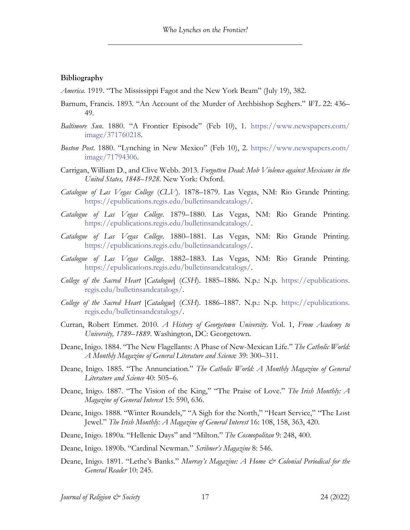#### **Bibliography**

- *America*. 1919. "The Mississippi Fagot and the New York Beam" (July 19), 382.
- Barnum, Francis. 1893. "An Account of the Murder of Archbishop Seghers." *WL* 22: 436– 49.
- *Baltimore Sun*. 1880. "A Frontier Episode" (Feb 10), 1. https://www.newspapers.com/ image/371760218.
- *Boston Post*. 1880. "Lynching in New Mexico" (Feb 10), 2. https://www.newspapers.com/ image/71794306.
- Carrigan, William D., and Clive Webb. 2013. *Forgotten Dead: Mob Violence against Mexicans in the United States, 1848–1928*. New York: Oxford.
- *Catalogue of Las Vegas College* (*CLV*). 1878–1879. Las Vegas, NM: Rio Grande Printing. https://epublications.regis.edu/bulletinsandcatalogs/.
- *Catalogue of Las Vegas College*. 1879–1880. Las Vegas, NM: Rio Grande Printing. https://epublications.regis.edu/bulletinsandcatalogs/.
- *Catalogue of Las Vegas College*. 1880–1881. Las Vegas, NM: Rio Grande Printing. https://epublications.regis.edu/bulletinsandcatalogs/.
- *Catalogue of Las Vegas College*. 1882–1883. Las Vegas, NM: Rio Grande Printing. https://epublications.regis.edu/bulletinsandcatalogs/.
- *College of the Sacred Heart* [*Catalogue*] (*CSH*). 1885–1886. N.p.: N.p. https://epublications. regis.edu/bulletinsandcatalogs/.
- *College of the Sacred Heart* [*Catalogue*] (*CSH*). 1886–1887. N.p.: N.p. https://epublications. regis.edu/bulletinsandcatalogs/.
- Curran, Robert Emmet. 2010. *A History of Georgetown University*. Vol. 1, *From Academy to University, 1789–1889*. Washington, DC: Georgetown.
- Deane, Inigo. 1884. "The New Flagellants: A Phase of New-Mexican Life." *The Catholic World: A Monthly Magazine of General Literature and Scienc*e 39: 300–311.
- Deane, Inigo. 1885. "The Annunciation." *The Catholic World: A Monthly Magazine of General Literature and Science* 40: 505–6.
- Deane, Inigo. 1887. "The Vision of the King," "The Praise of Love." *The Irish Monthly: A Magazine of General Interest* 15: 590, 636.
- Deane, Inigo. 1888. "Winter Roundels," "A Sigh for the North," "Heart Service," "The Lost Jewel." *The Irish Monthly: A Magazine of General Interest* 16: 108, 158, 363, 420.
- Deane, Inigo. 1890a. "Hellenic Days" and "Milton." *The Cosmopolitan* 9: 248, 400.
- Deane, Inigo. 1890b. "Cardinal Newman." *Scribner's Magazine* 8: 546.
- Deane, Inigo. 1891. "Lethe's Banks." *Murray's Magazine: A Home & Colonial Periodical for the General Reader* 10: 245.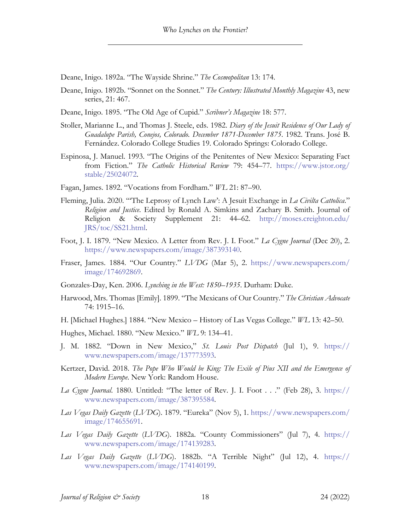Deane, Inigo. 1892a. "The Wayside Shrine." *The Cosmopolitan* 13: 174.

Deane, Inigo. 1892b. "Sonnet on the Sonnet." *The Century: Illustrated Monthly Magazine* 43, new series, 21: 467.

Deane, Inigo. 1895. "The Old Age of Cupid." *Scribner's Magazine* 18: 577.

- Stoller, Marianne L., and Thomas J. Steele, eds. 1982. *Diary of the Jesuit Residence of Our Lady of Guadalupe Parish, Conejos, Colorado. December 1871-December 1875*. 1982. Trans. José B. Fernández. Colorado College Studies 19. Colorado Springs: Colorado College.
- Espinosa, J. Manuel. 1993. "The Origins of the Penitentes of New Mexico: Separating Fact from Fiction." *The Catholic Historical Review* 79: 454–77. https://www.jstor.org/ stable/25024072.
- Fagan, James. 1892. "Vocations from Fordham." *WL* 21: 87–90.
- Fleming, Julia. 2020. "'The Leprosy of Lynch Law': A Jesuit Exchange in *La Civilta Cattolica*." *Religion and Justice*. Edited by Ronald A. Simkins and Zachary B. Smith. Journal of Religion & Society Supplement 21: 44–62. http://moses.creighton.edu/ JRS/toc/SS21.html.
- Foot, J. I. 1879. "New Mexico. A Letter from Rev. J. I. Foot." *La Cygne Journal* (Dec 20), 2. https://www.newspapers.com/image/387393140.
- Fraser, James. 1884. "Our Country." *LVDG* (Mar 5), 2. https://www.newspapers.com/ image/174692869.
- Gonzales-Day, Ken. 2006. *Lynching in the West: 1850–1935*. Durham: Duke.
- Harwood, Mrs. Thomas [Emily]. 1899. "The Mexicans of Our Country." *The Christian Advocate* 74: 1915–16.
- H. [Michael Hughes.] 1884. "New Mexico History of Las Vegas College." *WL* 13: 42–50.

Hughes, Michael. 1880. "New Mexico." *WL* 9: 134–41.

- J. M. 1882. "Down in New Mexico," *St. Louis Post Dispatch* (Jul 1), 9. https:// www.newspapers.com/image/137773593.
- Kertzer, David. 2018. *The Pope Who Would be King: The Exile of Pius XII and the Emergence of Modern Europe*. New York: Random House.
- *La Cygne Journal*. 1880. Untitled: "The letter of Rev. J. I. Foot . . ." (Feb 28), 3. https:// www.newspapers.com/image/387395584.
- *Las Vegas Daily Gazette* (*LVDG*). 1879. "Eureka" (Nov 5), 1. https://www.newspapers.com/ image/174655691.
- *Las Vegas Daily Gazette* (*LVDG*). 1882a. "County Commissioners" (Jul 7), 4. https:// www.newspapers.com/image/174139283.
- *Las Vegas Daily Gazette* (*LVDG*). 1882b. "A Terrible Night" (Jul 12), 4. https:// www.newspapers.com/image/174140199.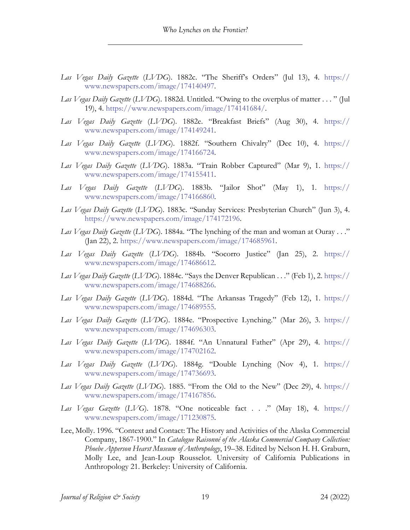- *Las Vegas Daily Gazette* (*LVDG*). 1882c. "The Sheriff's Orders" (Jul 13), 4. https:// www.newspapers.com/image/174140497.
- *Las Vegas Daily Gazette* (*LVDG*). 1882d. Untitled. "Owing to the overplus of matter . . . " (Jul 19), 4. https://www.newspapers.com/image/174141684/.
- *Las Vegas Daily Gazette* (*LVDG*). 1882e. "Breakfast Briefs" (Aug 30), 4. https:// www.newspapers.com/image/174149241.
- *Las Vegas Daily Gazette* (*LVDG*). 1882f. "Southern Chivalry" (Dec 10), 4. https:// www.newspapers.com/image/174166724.
- *Las Vegas Daily Gazette* (*LVDG*). 1883a. "Train Robber Captured" (Mar 9), 1. https:// www.newspapers.com/image/174155411.
- *Las Vegas Daily Gazette* (*LVDG*). 1883b. "Jailor Shot" (May 1), 1. https:// www.newspapers.com/image/174166860.
- *Las Vegas Daily Gazette* (*LVDG*). 1883c. "Sunday Services: Presbyterian Church" (Jun 3), 4. https://www.newspapers.com/image/174172196.
- *Las Vegas Daily Gazette* (*LVDG*). 1884a. "The lynching of the man and woman at Ouray . . ." (Jan 22), 2. https://www.newspapers.com/image/174685961.
- *Las Vegas Daily Gazette* (*LVDG*). 1884b. "Socorro Justice" (Jan 25), 2. https:// www.newspapers.com/image/174686612.
- *Las Vegas Daily Gazette* (*LVDG*). 1884c. "Says the Denver Republican . . ." (Feb 1), 2. https:// www.newspapers.com/image/174688266.
- *Las Vegas Daily Gazette* (*LVDG*). 1884d. "The Arkansas Tragedy" (Feb 12), 1. https:// www.newspapers.com/image/174689555.
- *Las Vegas Daily Gazette* (*LVDG*). 1884e. "Prospective Lynching." (Mar 26), 3. https:// www.newspapers.com/image/174696303.
- *Las Vegas Daily Gazette* (*LVDG*). 1884f. "An Unnatural Father" (Apr 29), 4. https:// www.newspapers.com/image/174702162.
- *Las Vegas Daily Gazette* (*LVDG*). 1884g. "Double Lynching (Nov 4), 1. https:// www.newspapers.com/image/174736693.
- *Las Vegas Daily Gazette* (*LVDG*). 1885. "From the Old to the New" (Dec 29), 4. https:// www.newspapers.com/image/174167856.
- *Las Vegas Gazette* (*LVG*). 1878. "One noticeable fact . . ." (May 18), 4. https:// www.newspapers.com/image/171230875.
- Lee, Molly. 1996. "Context and Contact: The History and Activities of the Alaska Commercial Company, 1867-1900." In *Catalogue Raisonné of the Alaska Commercial Company Collection: Phoebe Apperson Hearst Museum of Anthropology*, 19–38. Edited by Nelson H. H. Graburn, Molly Lee, and Jean-Loup Rousselot. University of California Publications in Anthropology 21. Berkeley: University of California.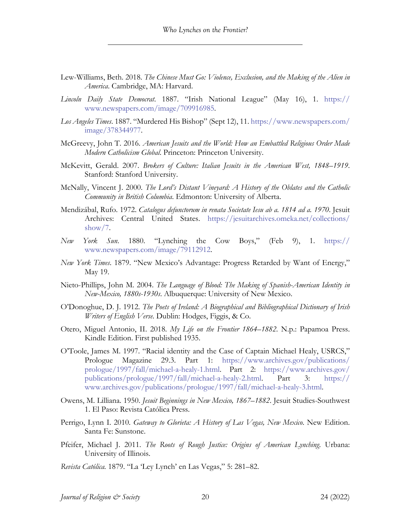- Lew-Williams, Beth. 2018. *The Chinese Must Go: Violence, Exclusion, and the Making of the Alien in America*. Cambridge, MA: Harvard.
- *Lincoln Daily State Democrat*. 1887. "Irish National League" (May 16), 1. https:// www.newspapers.com/image/709916985.
- *Los Angeles Times*. 1887. "Murdered His Bishop" (Sept 12), 11. https://www.newspapers.com/ image/378344977.
- McGreevy, John T. 2016. *American Jesuits and the World: How an Embattled Religious Order Made Modern Catholicism Global*. Princeton: Princeton University.
- McKevitt, Gerald. 2007. *Brokers of Culture: Italian Jesuits in the American West, 1848–1919*. Stanford: Stanford University.
- McNally, Vincent J. 2000. *The Lord's Distant Vineyard: A History of the Oblates and the Catholic Community in British Columbia*. Edmonton: University of Alberta.
- Mendizábal, Rufo. 1972. *Catalogus defunctorum in renata Societate Iesu ab a. 1814 ad a. 1970*. Jesuit Archives: Central United States. https://jesuitarchives.omeka.net/collections/ show/7.
- *New York Sun*. 1880. "Lynching the Cow Boys," (Feb 9), 1. https:// www.newspapers.com/image/79112912.
- *New York Times*. 1879. "New Mexico's Advantage: Progress Retarded by Want of Energy," May 19.
- Nieto-Phillips, John M. 2004. *The Language of Blood: The Making of Spanish-American Identity in New-Mexico, 1880s-1930s*. Albuquerque: University of New Mexico.
- O'Donoghue, D. J. 1912. *The Poets of Ireland: A Biographical and Bibliographical Dictionary of Irish Writers of English Verse*. Dublin: Hodges, Figgis, & Co.
- Otero, Miguel Antonio, II. 2018. *My Life on the Frontier 1864–1882*. N.p.: Papamoa Press. Kindle Edition. First published 1935.
- O'Toole, James M. 1997. "Racial identity and the Case of Captain Michael Healy, USRCS," Prologue Magazine 29.3. Part 1: https://www.archives.gov/publications/ prologue/1997/fall/michael-a-healy-1.html. Part 2: https://www.archives.gov/ publications/prologue/1997/fall/michael-a-healy-2.html. Part 3: https:// www.archives.gov/publications/prologue/1997/fall/michael-a-healy-3.html.
- Owens, M. Lilliana. 1950. *Jesuit Beginnings in New Mexico, 1867–1882*. Jesuit Studies-Southwest 1. El Paso: Revista Católica Press.
- Perrigo, Lynn I. 2010. *Gateway to Glorieta: A History of Las Vegas, New Mexico*. New Edition. Santa Fe: Sunstone.
- Pfeifer, Michael J. 2011. *The Roots of Rough Justice: Origins of American Lynching*. Urbana: University of Illinois.
- *Revista Católica.* 1879. "La 'Ley Lynch' en Las Vegas," 5: 281–82.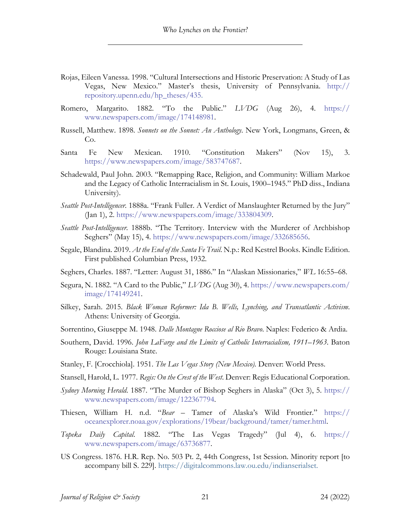- Rojas, Eileen Vanessa. 1998. "Cultural Intersections and Historic Preservation: A Study of Las Vegas, New Mexico." Master's thesis, University of Pennsylvania. http:// repository.upenn.edu/hp\_theses/435.
- Romero, Margarito. 1882. "To the Public." *LVDG* (Aug 26), 4. https:// www.newspapers.com/image/174148981.
- Russell, Matthew. 1898. *Sonnets on the Sonnet: An Anthology*. New York, Longmans, Green, & Co.
- Santa Fe New Mexican. 1910. "Constitution Makers" (Nov 15), 3. https://www.newspapers.com/image/583747687.
- Schadewald, Paul John. 2003. "Remapping Race, Religion, and Community: William Markoe and the Legacy of Catholic Interracialism in St. Louis, 1900–1945." PhD diss., Indiana University).
- *Seattle Post-Intelligencer*. 1888a. "Frank Fuller. A Verdict of Manslaughter Returned by the Jury" (Jan 1), 2. https://www.newspapers.com/image/333804309.
- *Seattle Post-Intelligencer*. 1888b. "The Territory. Interview with the Murderer of Archbishop Seghers" (May 15), 4. https://www.newspapers.com/image/332685656.
- Segale, Blandina. 2019. *At the End of the Santa Fe Trail*. N.p.: Red Kestrel Books. Kindle Edition. First published Columbian Press, 1932.
- Seghers, Charles. 1887. "Letter: August 31, 1886." In "Alaskan Missionaries," *WL* 16:55–68.
- Segura, N. 1882. "A Card to the Public," *LVDG* (Aug 30), 4. https://www.newspapers.com/ image/174149241.
- Silkey, Sarah. 2015. *Black Woman Reformer: Ida B. Wells, Lynching, and Transatlantic Activism*. Athens: University of Georgia.
- Sorrentino, Giuseppe M. 1948. *Dalle Montagne Rocciose al Rio Bravo*. Naples: Federico & Ardia.
- Southern, David. 1996. *John LaFarge and the Limits of Catholic Interracialism, 1911–1963*. Baton Rouge: Louisiana State.
- Stanley, F. [Crocchiola]. 1951. *The Las Vegas Story (New Mexico).* Denver: World Press.
- Stansell, Harold, L. 1977. *Regis: On the Crest of the West*. Denver: Regis Educational Corporation.
- *Sydney Morning Herald*. 1887. "The Murder of Bishop Seghers in Alaska" (Oct 3), 5. https:// www.newspapers.com/image/122367794.
- Thiesen, William H. n.d. "*Bear* Tamer of Alaska's Wild Frontier." https:// oceanexplorer.noaa.gov/explorations/19bear/background/tamer/tamer.html.
- *Topeka Daily Capital*. 1882. "The Las Vegas Tragedy" (Jul 4), 6. https:// www.newspapers.com/image/63736877.
- US Congress. 1876. H.R. Rep. No. 503 Pt. 2, 44th Congress, 1st Session. Minority report [to accompany bill S. 229]. https://digitalcommons.law.ou.edu/indianserialset.